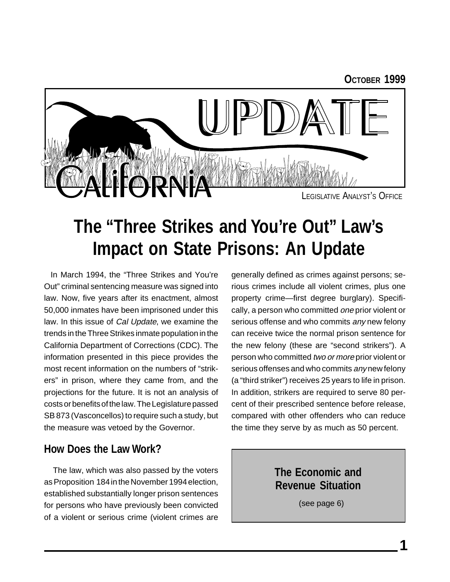#### **OCTOBER 1999**



### **The "Three Strikes and You're Out" Law's Impact on State Prisons: An Update**

In March 1994, the "Three Strikes and You're Out" criminal sentencing measure was signed into law. Now, five years after its enactment, almost 50,000 inmates have been imprisoned under this law. In this issue of Cal Update, we examine the trends in the Three Strikes inmate population in the California Department of Corrections (CDC). The information presented in this piece provides the most recent information on the numbers of "strikers" in prison, where they came from, and the projections for the future. It is not an analysis of costs or benefits of the law. The Legislature passed SB 873 (Vasconcellos) to require such a study, but the measure was vetoed by the Governor.

#### **How Does the Law Work?**

 The law, which was also passed by the voters as Proposition 184 in the November 1994 election, established substantially longer prison sentences for persons who have previously been convicted of a violent or serious crime (violent crimes are generally defined as crimes against persons; serious crimes include all violent crimes, plus one property crime—first degree burglary). Specifically, a person who committed *one* prior violent or serious offense and who commits any new felony can receive twice the normal prison sentence for the new felony (these are "second strikers"). A person who committed two or more prior violent or serious offenses and who commits any new felony (a "third striker") receives 25 years to life in prison. In addition, strikers are required to serve 80 percent of their prescribed sentence before release, compared with other offenders who can reduce the time they serve by as much as 50 percent.

> **The Economic and Revenue Situation**

> > (see page 6)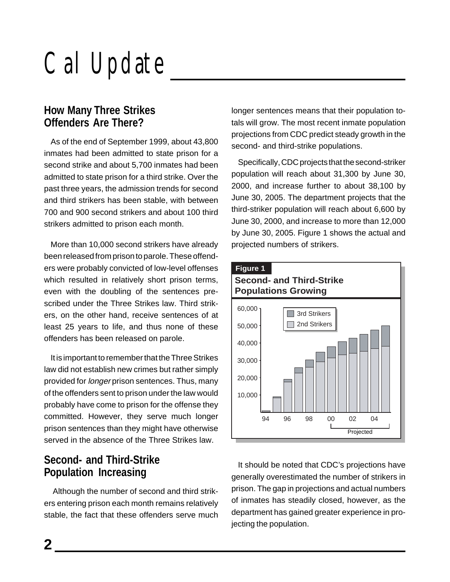### **How Many Three Strikes Offenders Are There?**

As of the end of September 1999, about 43,800 inmates had been admitted to state prison for a second strike and about 5,700 inmates had been admitted to state prison for a third strike. Over the past three years, the admission trends for second and third strikers has been stable, with between 700 and 900 second strikers and about 100 third strikers admitted to prison each month.

More than 10,000 second strikers have already been released from prison to parole. These offenders were probably convicted of low-level offenses which resulted in relatively short prison terms, even with the doubling of the sentences prescribed under the Three Strikes law. Third strikers, on the other hand, receive sentences of at least 25 years to life, and thus none of these offenders has been released on parole.

It is important to remember that the Three Strikes law did not establish new crimes but rather simply provided for longer prison sentences. Thus, many of the offenders sent to prison under the law would probably have come to prison for the offense they committed. However, they serve much longer prison sentences than they might have otherwise served in the absence of the Three Strikes law.

### **Second- and Third-Strike Population Increasing**

Although the number of second and third strikers entering prison each month remains relatively stable, the fact that these offenders serve much

longer sentences means that their population totals will grow. The most recent inmate population projections from CDC predict steady growth in the second- and third-strike populations.

Specifically, CDC projects that the second-striker population will reach about 31,300 by June 30, 2000, and increase further to about 38,100 by June 30, 2005. The department projects that the third-striker population will reach about 6,600 by June 30, 2000, and increase to more than 12,000 by June 30, 2005. Figure 1 shows the actual and projected numbers of strikers.



It should be noted that CDC's projections have generally overestimated the number of strikers in prison. The gap in projections and actual numbers of inmates has steadily closed, however, as the department has gained greater experience in projecting the population.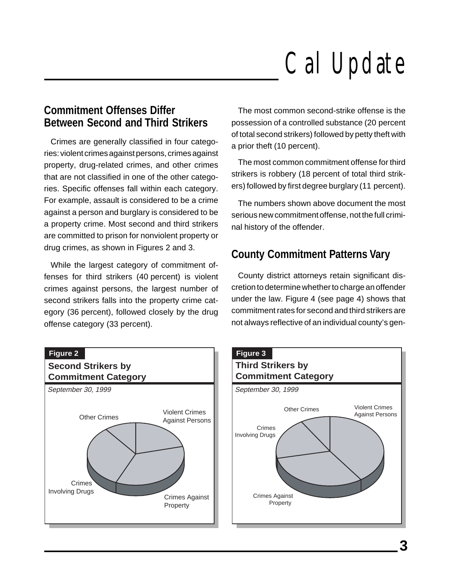### **Commitment Offenses Differ Between Second and Third Strikers**

Crimes are generally classified in four categories: violent crimes against persons, crimes against property, drug-related crimes, and other crimes that are not classified in one of the other categories. Specific offenses fall within each category. For example, assault is considered to be a crime against a person and burglary is considered to be a property crime. Most second and third strikers are committed to prison for nonviolent property or drug crimes, as shown in Figures 2 and 3.

While the largest category of commitment offenses for third strikers (40 percent) is violent crimes against persons, the largest number of second strikers falls into the property crime category (36 percent), followed closely by the drug offense category (33 percent).



The most common second-strike offense is the possession of a controlled substance (20 percent of total second strikers) followed by petty theft with a prior theft (10 percent).

The most common commitment offense for third strikers is robbery (18 percent of total third strikers) followed by first degree burglary (11 percent).

The numbers shown above document the most serious new commitment offense, not the full criminal history of the offender.

### **County Commitment Patterns Vary**

County district attorneys retain significant discretion to determine whether to charge an offender under the law. Figure 4 (see page 4) shows that commitment rates for second and third strikers are not always reflective of an individual county's gen-

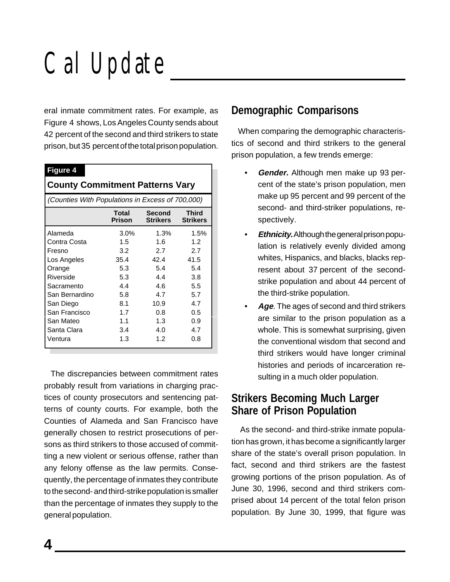eral inmate commitment rates. For example, as Figure 4 shows, Los Angeles County sends about 42 percent of the second and third strikers to state prison, but 35 percent of the total prison population.

#### **Figure 4**

#### **County Commitment Patterns Vary**

| (Counties With Populations in Excess of 700,000) |                 |                           |                                 |
|--------------------------------------------------|-----------------|---------------------------|---------------------------------|
|                                                  | Total<br>Prison | Second<br><b>Strikers</b> | <b>Third</b><br><b>Strikers</b> |
| Alameda                                          | $3.0\%$         | 1.3%                      | 1.5%                            |
| Contra Costa                                     | 1.5             | 1.6                       | 1.2                             |
| Fresno                                           | 3.2             | 2.7                       | 2.7                             |
| Los Angeles                                      | 35.4            | 42.4                      | 41.5                            |
| Orange                                           | 5.3             | 5.4                       | 5.4                             |
| Riverside                                        | 5.3             | 4.4                       | 3.8                             |
| Sacramento                                       | 4.4             | 4.6                       | 5.5                             |
| San Bernardino                                   | 5.8             | 4.7                       | 5.7                             |
| San Diego                                        | 8.1             | 10.9                      | 4.7                             |
| San Francisco                                    | 1.7             | 0.8                       | 0.5                             |
| San Mateo                                        | 1.1             | 1.3                       | 0.9                             |
| Santa Clara                                      | 3.4             | 4.0                       | 4.7                             |
| Ventura                                          | 1.3             | 1.2                       | 0.8                             |

The discrepancies between commitment rates probably result from variations in charging practices of county prosecutors and sentencing patterns of county courts. For example, both the Counties of Alameda and San Francisco have generally chosen to restrict prosecutions of persons as third strikers to those accused of committing a new violent or serious offense, rather than any felony offense as the law permits. Consequently, the percentage of inmates they contribute to the second- and third-strike population is smaller than the percentage of inmates they supply to the general population.

#### **Demographic Comparisons**

When comparing the demographic characteristics of second and third strikers to the general prison population, a few trends emerge:

- **Gender.** Although men make up 93 percent of the state's prison population, men make up 95 percent and 99 percent of the second- and third-striker populations, respectively.
- **Ethnicity.** Although the general prison population is relatively evenly divided among whites, Hispanics, and blacks, blacks represent about 37 percent of the secondstrike population and about 44 percent of the third-strike population.
- **Age**. The ages of second and third strikers are similar to the prison population as a whole. This is somewhat surprising, given the conventional wisdom that second and third strikers would have longer criminal histories and periods of incarceration resulting in a much older population.

#### **Strikers Becoming Much Larger Share of Prison Population**

 As the second- and third-strike inmate population has grown, it has become a significantly larger share of the state's overall prison population. In fact, second and third strikers are the fastest growing portions of the prison population. As of June 30, 1996, second and third strikers comprised about 14 percent of the total felon prison population. By June 30, 1999, that figure was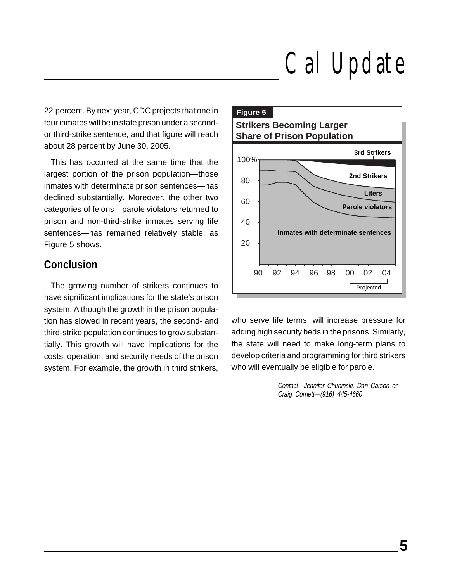22 percent. By next year, CDC projects that one in four inmates will be in state prison under a secondor third-strike sentence, and that figure will reach about 28 percent by June 30, 2005.

This has occurred at the same time that the largest portion of the prison population—those inmates with determinate prison sentences—has declined substantially. Moreover, the other two categories of felons—parole violators returned to prison and non-third-strike inmates serving life sentences—has remained relatively stable, as Figure 5 shows.

### **Conclusion**

The growing number of strikers continues to have significant implications for the state's prison system. Although the growth in the prison population has slowed in recent years, the second- and third-strike population continues to grow substantially. This growth will have implications for the costs, operation, and security needs of the prison system. For example, the growth in third strikers,



who serve life terms, will increase pressure for adding high security beds in the prisons. Similarly, the state will need to make long-term plans to develop criteria and programming for third strikers who will eventually be eligible for parole.

> Contact—Jennifer Chubinski, Dan Carson or Craig Cornett—(916) 445-4660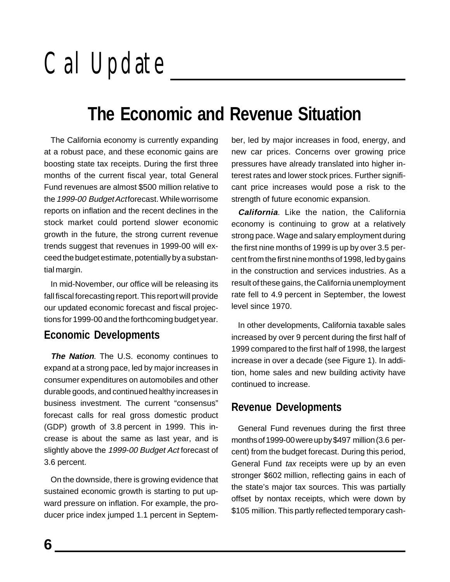### **The Economic and Revenue Situation**

The California economy is currently expanding at a robust pace, and these economic gains are boosting state tax receipts. During the first three months of the current fiscal year, total General Fund revenues are almost \$500 million relative to the 1999-00 Budget Actforecast. While worrisome reports on inflation and the recent declines in the stock market could portend slower economic growth in the future, the strong current revenue trends suggest that revenues in 1999-00 will exceed the budget estimate, potentially by a substantial margin.

In mid-November, our office will be releasing its fall fiscal forecasting report. This report will provide our updated economic forecast and fiscal projections for 1999-00 and the forthcoming budget year.

#### **Economic Developments**

**The Nation**. The U.S. economy continues to expand at a strong pace, led by major increases in consumer expenditures on automobiles and other durable goods, and continued healthy increases in business investment. The current "consensus" forecast calls for real gross domestic product (GDP) growth of 3.8 percent in 1999. This increase is about the same as last year, and is slightly above the 1999-00 Budget Act forecast of 3.6 percent.

On the downside, there is growing evidence that sustained economic growth is starting to put upward pressure on inflation. For example, the producer price index jumped 1.1 percent in September, led by major increases in food, energy, and new car prices. Concerns over growing price pressures have already translated into higher interest rates and lower stock prices. Further significant price increases would pose a risk to the strength of future economic expansion.

**California**. Like the nation, the California economy is continuing to grow at a relatively strong pace. Wage and salary employment during the first nine months of 1999 is up by over 3.5 percent from the first nine months of 1998, led by gains in the construction and services industries. As a result of these gains, the California unemployment rate fell to 4.9 percent in September, the lowest level since 1970.

In other developments, California taxable sales increased by over 9 percent during the first half of 1999 compared to the first half of 1998, the largest increase in over a decade (see Figure 1). In addition, home sales and new building activity have continued to increase.

#### **Revenue Developments**

General Fund revenues during the first three months of 1999-00 were up by \$497 million (3.6 percent) from the budget forecast. During this period, General Fund tax receipts were up by an even stronger \$602 million, reflecting gains in each of the state's major tax sources. This was partially offset by nontax receipts, which were down by \$105 million. This partly reflected temporary cash-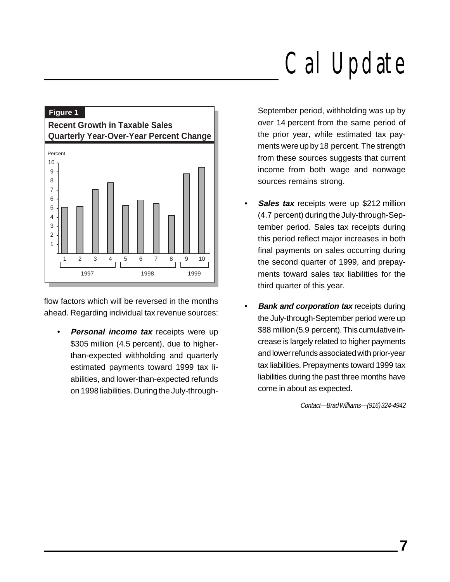

flow factors which will be reversed in the months ahead. Regarding individual tax revenue sources:

• **Personal income tax** receipts were up \$305 million (4.5 percent), due to higherthan-expected withholding and quarterly estimated payments toward 1999 tax liabilities, and lower-than-expected refunds on 1998 liabilities. During the July-throughSeptember period, withholding was up by over 14 percent from the same period of the prior year, while estimated tax payments were up by 18 percent. The strength from these sources suggests that current income from both wage and nonwage sources remains strong.

- **Sales tax** receipts were up \$212 million (4.7 percent) during the July-through-September period. Sales tax receipts during this period reflect major increases in both final payments on sales occurring during the second quarter of 1999, and prepayments toward sales tax liabilities for the third quarter of this year.
- **Bank and corporation tax** receipts during the July-through-September period were up \$88 million (5.9 percent). This cumulative increase is largely related to higher payments and lower refunds associated with prior-year tax liabilities. Prepayments toward 1999 tax liabilities during the past three months have come in about as expected.

Contact—Brad Williams—(916) 324-4942